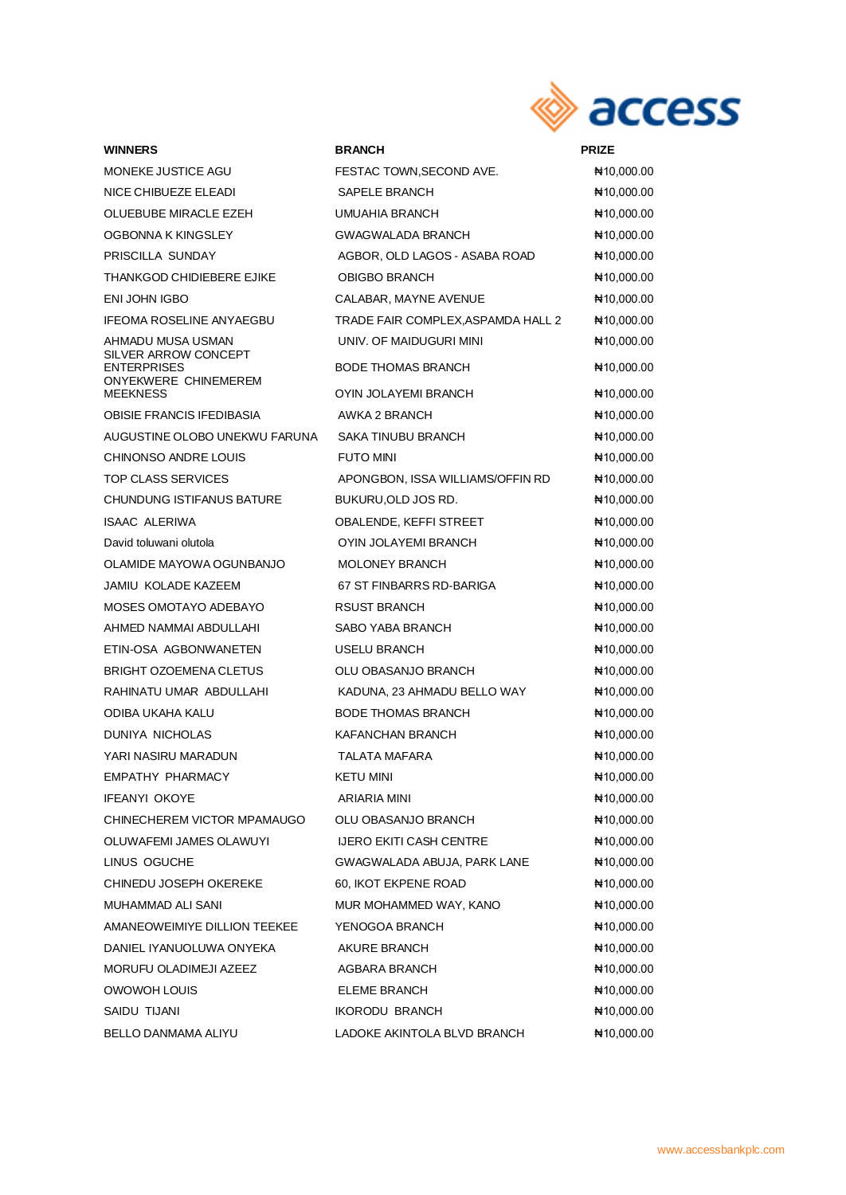

## **WINNERS BRANCH PRIZE** SILVER ARROW CONCEPT ONYEKWERE CHINEMEREM

| <b>MONEKE JUSTICE AGU</b>                  | FESTAC TOWN, SECOND AVE.           | ₦10,000.00   |
|--------------------------------------------|------------------------------------|--------------|
| NICE CHIBUEZE ELEADI                       | SAPELE BRANCH                      | ₦10,000.00   |
| OLUEBUBE MIRACLE EZEH                      | UMUAHIA BRANCH                     | ₦10,000.00   |
| OGBONNA K KINGSLEY                         | <b>GWAGWALADA BRANCH</b>           | ₦10,000.00   |
| PRISCILLA SUNDAY                           | AGBOR, OLD LAGOS - ASABA ROAD      | ₦10,000.00   |
| THANKGOD CHIDIEBERE EJIKE                  | <b>OBIGBO BRANCH</b>               | NH 10,000.00 |
| ENI JOHN IGBO                              | CALABAR, MAYNE AVENUE              | ₦10,000.00   |
| <b>IFEOMA ROSELINE ANYAEGBU</b>            | TRADE FAIR COMPLEX, ASPAMDA HALL 2 | ₦10,000.00   |
| AHMADU MUSA USMAN                          | UNIV. OF MAIDUGURI MINI            | ₦10,000.00   |
| SILVER ARROW CONCEPT<br><b>ENTERPRISES</b> | <b>BODE THOMAS BRANCH</b>          | ₦10,000.00   |
| ONYEKWERE CHINEMEREM<br><b>MEEKNESS</b>    | OYIN JOLAYEMI BRANCH               | ₦10,000.00   |
| <b>OBISIE FRANCIS IFEDIBASIA</b>           | AWKA 2 BRANCH                      | ₦10,000.00   |
| AUGUSTINE OLOBO UNEKWU FARUNA              | <b>SAKA TINUBU BRANCH</b>          | ₦10,000.00   |
| <b>CHINONSO ANDRE LOUIS</b>                | <b>FUTO MINI</b>                   | ₦10,000.00   |
| TOP CLASS SERVICES                         | APONGBON, ISSA WILLIAMS/OFFIN RD   | ₦10,000.00   |
| <b>CHUNDUNG ISTIFANUS BATURE</b>           | BUKURU, OLD JOS RD.                | NH 10,000.00 |
| <b>ISAAC ALERIWA</b>                       | OBALENDE, KEFFI STREET             | ₦10,000.00   |
| David toluwani olutola                     | OYIN JOLAYEMI BRANCH               | ₦10,000.00   |
| OLAMIDE MAYOWA OGUNBANJO                   | <b>MOLONEY BRANCH</b>              | ₦10,000.00   |
| JAMIU KOLADE KAZEEM                        | 67 ST FINBARRS RD-BARIGA           | ₦10,000.00   |
| MOSES OMOTAYO ADEBAYO                      | <b>RSUST BRANCH</b>                | ₦10,000.00   |
| AHMED NAMMAI ABDULLAHI                     | SABO YABA BRANCH                   | ₦10,000.00   |
| ETIN-OSA AGBONWANETEN                      | USELU BRANCH                       | ₦10,000.00   |
| <b>BRIGHT OZOEMENA CLETUS</b>              | OLU OBASANJO BRANCH                | ₦10,000.00   |
| RAHINATU UMAR ABDULLAHI                    | KADUNA, 23 AHMADU BELLO WAY        | ₦10,000.00   |
| ODIBA UKAHA KALU                           | <b>BODE THOMAS BRANCH</b>          | ₦10,000.00   |
| DUNIYA NICHOLAS                            | KAFANCHAN BRANCH                   | ₦10,000.00   |
| YARI NASIRU MARADUN                        | TALATA MAFARA                      | ₦10,000.00   |
| <b>EMPATHY PHARMACY</b>                    | <b>KETU MINI</b>                   | ₦10,000.00   |
| IFEANYI OKOYE                              | ARIARIA MINI                       | ₦10,000.00   |
| CHINECHEREM VICTOR MPAMAUGO                | OLU OBASANJO BRANCH                | N10,000.00   |
| OLUWAFEMI JAMES OLAWUYI                    | <b>IJERO EKITI CASH CENTRE</b>     | ₦10,000.00   |
| LINUS OGUCHE                               | GWAGWALADA ABUJA, PARK LANE        | ₦10,000.00   |
| CHINEDU JOSEPH OKEREKE                     | 60, IKOT EKPENE ROAD               | ₦10,000.00   |
| MUHAMMAD ALI SANI                          | MUR MOHAMMED WAY, KANO             | ₦10,000.00   |
| AMANEOWEIMIYE DILLION TEEKEE               | YENOGOA BRANCH                     | ₦10,000.00   |
| DANIEL IYANUOLUWA ONYEKA                   | AKURE BRANCH                       | ₦10,000.00   |
| MORUFU OLADIMEJI AZEEZ                     | AGBARA BRANCH                      | ₦10,000.00   |
| OWOWOH LOUIS                               | ELEME BRANCH                       | ₦10,000.00   |
| SAIDU TIJANI                               | <b>IKORODU BRANCH</b>              | ₦10,000.00   |
| BELLO DANMAMA ALIYU                        | LADOKE AKINTOLA BLVD BRANCH        | ₦10,000.00   |

www.accessbankplc.com